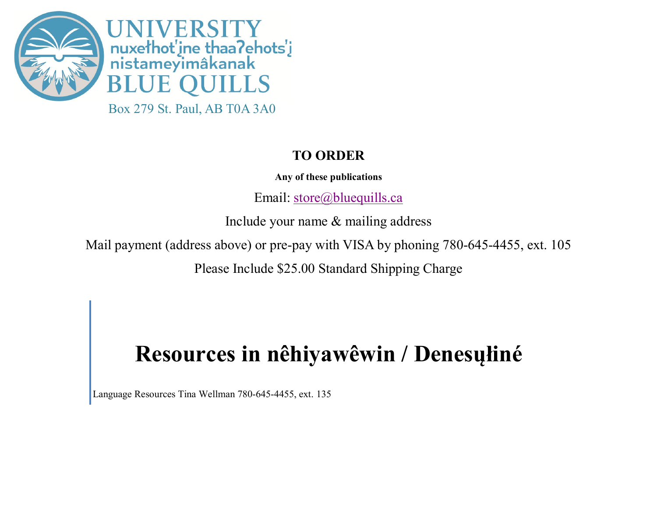

## **TO ORDER**

**Any of these publications** 

Email: [store@bluequills.ca](mailto:store@bluequills.ca) 

Include your name & mailing address

Mail payment (address above) or pre-pay with VISA by phoning 780-645-4455, ext. 105

Please Include \$25.00 Standard Shipping Charge

## **Resources in nêhiyawêwin / Denesųłiné**

Language Resources Tina Wellman 780-645-4455, ext. 135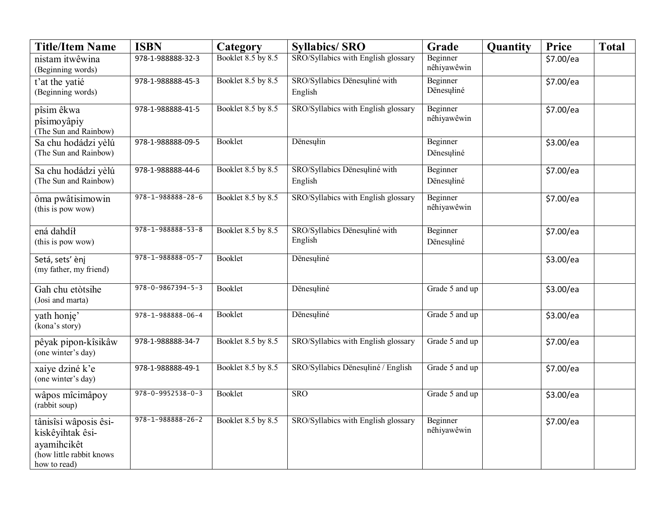| <b>Title/Item Name</b>                                                                               | <b>ISBN</b>                 | Category                  | <b>Syllabics/SRO</b>                     | Grade                   | Quantity | <b>Price</b>          | <b>Total</b> |
|------------------------------------------------------------------------------------------------------|-----------------------------|---------------------------|------------------------------------------|-------------------------|----------|-----------------------|--------------|
| nistam itwêwina<br>(Beginning words)                                                                 | 978-1-988888-32-3           | <b>Booklet 8.5 by 8.5</b> | SRO/Syllabics with English glossary      | Beginner<br>nêhiyawêwin |          | $\frac{1}{5}$ 7.00/ea |              |
| t'at the yatié<br>(Beginning words)                                                                  | 978-1-988888-45-3           | Booklet 8.5 by 8.5        | SRO/Syllabics Dënesuliné with<br>English | Beginner<br>Dënesuliné  |          | \$7.00/ea             |              |
| pîsim êkwa<br>pîsimoyâpiy<br>(The Sun and Rainbow)                                                   | 978-1-988888-41-5           | Booklet 8.5 by 8.5        | SRO/Syllabics with English glossary      | Beginner<br>nêhiyawêwin |          | \$7.00/ea             |              |
| Sa chu hodádzi yèlú<br>(The Sun and Rainbow)                                                         | 978-1-988888-09-5           | Booklet                   | Dënesulin                                | Beginner<br>Dënesuliné  |          | \$3.00/ea             |              |
| Sa chu hodádzi yèlú<br>(The Sun and Rainbow)                                                         | 978-1-988888-44-6           | Booklet 8.5 by 8.5        | SRO/Syllabics Dënesuliné with<br>English | Beginner<br>Dënesuliné  |          | \$7.00/ea             |              |
| ôma pwâtisimowin<br>(this is pow wow)                                                                | $978 - 1 - 988888 - 28 - 6$ | Booklet 8.5 by 8.5        | SRO/Syllabics with English glossary      | Beginner<br>nêhiyawêwin |          | \$7.00/ea             |              |
| ená dahdíł<br>(this is pow wow)                                                                      | $978 - 1 - 988888 - 53 - 8$ | Booklet 8.5 by 8.5        | SRO/Syllabics Dënesuliné with<br>English | Beginner<br>Dënesuliné  |          | \$7.00/ea             |              |
| Setá, sets' ènj<br>(my father, my friend)                                                            | $978 - 1 - 988888 - 05 - 7$ | Booklet                   | Dënesuliné                               |                         |          | \$3.00/ea             |              |
| Gah chu etòtsihe<br>(Josi and marta)                                                                 | $978 - 0 - 9867394 - 5 - 3$ | <b>Booklet</b>            | Dënesuliné                               | Grade 5 and up          |          | \$3.00/ea             |              |
| yath honie'<br>(kona's story)                                                                        | 978-1-988888-06-4           | Booklet                   | Dënesuliné                               | Grade 5 and up          |          | \$3.00/ea             |              |
| pêyak pipon-kîsikâw<br>(one winter's day)                                                            | 978-1-988888-34-7           | Booklet 8.5 by 8.5        | SRO/Syllabics with English glossary      | Grade 5 and up          |          | \$7.00/ea             |              |
| xaiye dziné k'e<br>(one winter's day)                                                                | 978-1-988888-49-1           | Booklet 8.5 by 8.5        | SRO/Syllabics Dënesuliné / English       | Grade 5 and up          |          | \$7.00/ea             |              |
| wâpos mîcimâpoy<br>(rabbit soup)                                                                     | $978 - 0 - 9952538 - 0 - 3$ | Booklet                   | <b>SRO</b>                               | Grade 5 and up          |          | \$3.00/ea             |              |
| tânisîsi wâposis êsi-<br>kiskêyihtak êsi-<br>ayamihcikêt<br>(how little rabbit knows<br>how to read) | $978 - 1 - 988888 - 26 - 2$ | Booklet 8.5 by 8.5        | SRO/Syllabics with English glossary      | Beginner<br>nêhiyawêwin |          | \$7.00/ea             |              |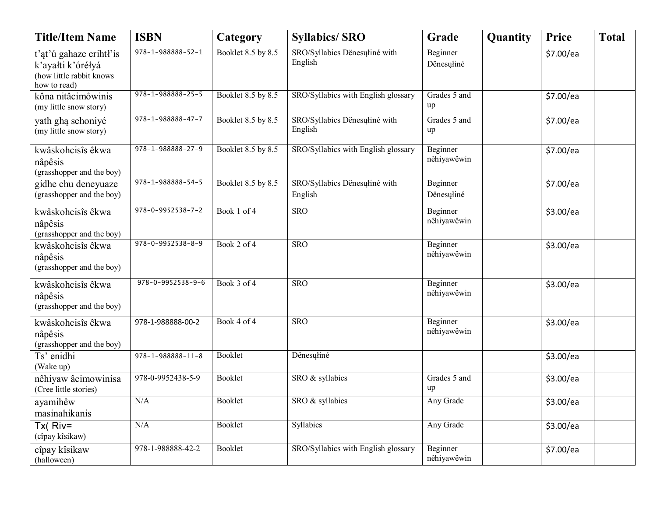| <b>Title/Item Name</b>                                                                   | <b>ISBN</b>                 | Category           | <b>Syllabics/SRO</b>                     | Grade                   | Quantity | Price     | <b>Total</b> |
|------------------------------------------------------------------------------------------|-----------------------------|--------------------|------------------------------------------|-------------------------|----------|-----------|--------------|
| t'at'ú gahaze erihtł'ís<br>k'ayałti k'óréłyá<br>(how little rabbit knows<br>how to read) | 978-1-988888-52-1           | Booklet 8.5 by 8.5 | SRO/Syllabics Dënesuliné with<br>English | Beginner<br>Dënesuliné  |          | \$7.00/ea |              |
| kôna nitâcimôwinis<br>(my little snow story)                                             | 978-1-988888-25-5           | Booklet 8.5 by 8.5 | SRO/Syllabics with English glossary      | Grades 5 and<br>up      |          | \$7.00/ea |              |
| yath ghą sehoniyé<br>(my little snow story)                                              | 978-1-988888-47-7           | Booklet 8.5 by 8.5 | SRO/Syllabics Dënesuliné with<br>English | Grades 5 and<br>up      |          | \$7.00/ea |              |
| kwâskohcisîs êkwa<br>nâpêsis<br>(grasshopper and the boy)                                | $978 - 1 - 988888 - 27 - 9$ | Booklet 8.5 by 8.5 | SRO/Syllabics with English glossary      | Beginner<br>nêhiyawêwin |          | \$7.00/ea |              |
| gídhe chu deneyuaze<br>(grasshopper and the boy)                                         | $978 - 1 - 988888 - 54 - 5$ | Booklet 8.5 by 8.5 | SRO/Syllabics Dënesuliné with<br>English | Beginner<br>Dënesuliné  |          | \$7.00/ea |              |
| kwâskohcisîs êkwa<br>nâpêsis<br>(grasshopper and the boy)                                | $978 - 0 - 9952538 - 7 - 2$ | Book 1 of 4        | <b>SRO</b>                               | Beginner<br>nêhiyawêwin |          | \$3.00/ea |              |
| kwâskohcisîs êkwa<br>nâpêsis<br>(grasshopper and the boy)                                | $978 - 0 - 9952538 - 8 - 9$ | Book 2 of 4        | <b>SRO</b>                               | Beginner<br>nêhiyawêwin |          | \$3.00/ea |              |
| kwâskohcisîs êkwa<br>nâpêsis<br>(grasshopper and the boy)                                | $978 - 0 - 9952538 - 9 - 6$ | Book 3 of 4        | <b>SRO</b>                               | Beginner<br>nêhiyawêwin |          | \$3.00/ea |              |
| kwâskohcisîs êkwa<br>nâpêsis<br>(grasshopper and the boy)                                | 978-1-988888-00-2           | Book 4 of 4        | <b>SRO</b>                               | Beginner<br>nêhiyawêwin |          | \$3.00/ea |              |
| Ts' enidhi<br>(Wake up)                                                                  | 978-1-988888-11-8           | Booklet            | Dënesuliné                               |                         |          | \$3.00/ea |              |
| nêhiyaw âcimowinisa<br>(Cree little stories)                                             | 978-0-9952438-5-9           | Booklet            | SRO & syllabics                          | Grades 5 and<br>up      |          | \$3.00/ea |              |
| ayamihêw<br>masinahikanis                                                                | N/A                         | Booklet            | SRO & syllabics                          | Any Grade               |          | \$3.00/ea |              |
| $Tx($ Riv=<br>(cîpay kîsikaw)                                                            | N/A                         | Booklet            | Syllabics                                | Any Grade               |          | \$3.00/ea |              |
| cîpay kîsikaw<br>(halloween)                                                             | 978-1-988888-42-2           | Booklet            | SRO/Syllabics with English glossary      | Beginner<br>nêhiyawêwin |          | \$7.00/ea |              |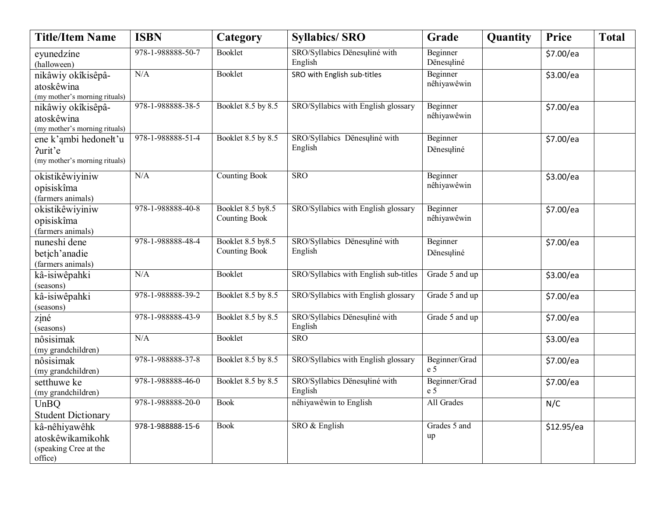| <b>Title/Item Name</b>                                                | <b>ISBN</b>       | Category                                   | <b>Syllabics/SRO</b>                     | Grade                           | Quantity | Price      | <b>Total</b> |
|-----------------------------------------------------------------------|-------------------|--------------------------------------------|------------------------------------------|---------------------------------|----------|------------|--------------|
| eyunedzíne<br>(halloween)                                             | 978-1-988888-50-7 | Booklet                                    | SRO/Syllabics Dënesuliné with<br>English | Beginner<br>Dënesuliné          |          | \$7.00/ea  |              |
| nikâwiy okîkisêpâ-<br>atoskêwina<br>(my mother's morning rituals)     | N/A               | <b>Booklet</b>                             | SRO with English sub-titles              | Beginner<br>nêhiyawêwin         |          | \$3.00/ea  |              |
| nikâwiy okîkisêpâ-<br>atoskêwina<br>(my mother's morning rituals)     | 978-1-988888-38-5 | Booklet 8.5 by 8.5                         | SRO/Syllabics with English glossary      | Beginner<br>nêhiyawêwin         |          | \$7.00/ea  |              |
| ene k'ambi hedonelt'u<br>?urit'e<br>(my mother's morning rituals)     | 978-1-988888-51-4 | Booklet 8.5 by 8.5                         | SRO/Syllabics Dënesuliné with<br>English | Beginner<br>Dënesuliné          |          | \$7.00/ea  |              |
| okistikêwiyiniw<br>opisiskîma<br>(farmers animals)                    | N/A               | <b>Counting Book</b>                       | <b>SRO</b>                               | Beginner<br>nêhiyawêwin         |          | \$3.00/ea  |              |
| okistikêwiyiniw<br>opisiskîma<br>(farmers animals)                    | 978-1-988888-40-8 | Booklet 8.5 by 8.5<br><b>Counting Book</b> | SRO/Syllabics with English glossary      | Beginner<br>nêhiyawêwin         |          | \$7.00/ea  |              |
| nuneshi dene<br>betich'anadie<br>(farmers animals)                    | 978-1-988888-48-4 | Booklet 8.5 by 8.5<br><b>Counting Book</b> | SRO/Syllabics Dënesuliné with<br>English | Beginner<br>Dënesuliné          |          | \$7.00/ea  |              |
| kâ-isiwêpahki<br>(seasons)                                            | N/A               | Booklet                                    | SRO/Syllabics with English sub-titles    | Grade 5 and up                  |          | \$3.00/ea  |              |
| kâ-isiwêpahki<br>(seasons)                                            | 978-1-988888-39-2 | Booklet 8.5 by 8.5                         | SRO/Syllabics with English glossary      | Grade 5 and up                  |          | \$7.00/ea  |              |
| ziné<br>(seasons)                                                     | 978-1-988888-43-9 | Booklet 8.5 by 8.5                         | SRO/Syllabics Dënesuliné with<br>English | Grade 5 and up                  |          | \$7.00/ea  |              |
| nôsisimak<br>(my grandchildren)                                       | N/A               | <b>Booklet</b>                             | SRO                                      |                                 |          | \$3.00/ea  |              |
| nôsisimak<br>(my grandchildren)                                       | 978-1-988888-37-8 | Booklet 8.5 by 8.5                         | SRO/Syllabics with English glossary      | Beginner/Grad<br>e <sub>5</sub> |          | \$7.00/ea  |              |
| setthuwe ke<br>(my grandchildren)                                     | 978-1-988888-46-0 | Booklet 8.5 by 8.5                         | SRO/Syllabics Dënesuliné with<br>English | Beginner/Grad<br>e 5            |          | \$7.00/ea  |              |
| UnBO<br><b>Student Dictionary</b>                                     | 978-1-988888-20-0 | <b>Book</b>                                | nêhiyawêwin to English                   | All Grades                      |          | N/C        |              |
| kâ-nêhiyawêhk<br>atoskêwikamikohk<br>(speaking Cree at the<br>office) | 978-1-988888-15-6 | <b>Book</b>                                | SRO & English                            | Grades 5 and<br>up              |          | \$12.95/ea |              |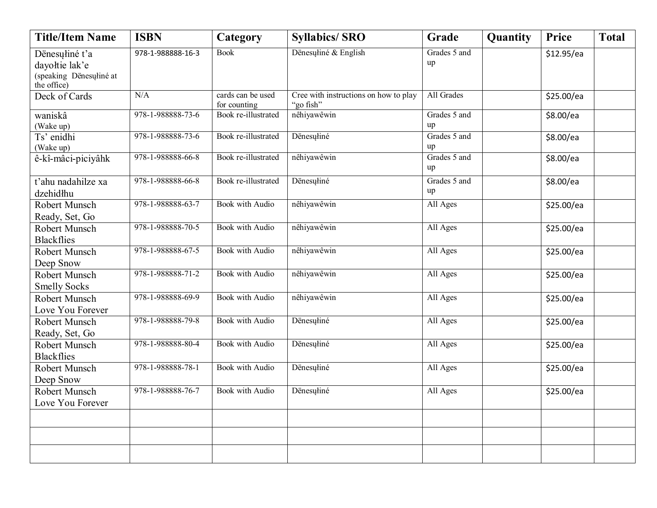| <b>Title/Item Name</b>                 | <b>ISBN</b>       | Category               | <b>Syllabics/SRO</b>                  | Grade              | Quantity | <b>Price</b> | <b>Total</b> |
|----------------------------------------|-------------------|------------------------|---------------------------------------|--------------------|----------|--------------|--------------|
| Dënesuliné t'a                         | 978-1-988888-16-3 | <b>Book</b>            | Dënesuliné & English                  | Grades 5 and       |          | \$12.95/ea   |              |
| dayołtie lak'e                         |                   |                        |                                       | up                 |          |              |              |
| (speaking Dënesuliné at<br>the office) |                   |                        |                                       |                    |          |              |              |
| Deck of Cards                          | N/A               | cards can be used      | Cree with instructions on how to play | All Grades         |          | \$25.00/ea   |              |
|                                        |                   | for counting           | "go fish"                             |                    |          |              |              |
| waniskâ                                | 978-1-988888-73-6 | Book re-illustrated    | nêhiyawêwin                           | Grades 5 and       |          | \$8.00/ea    |              |
| (Wake up)                              |                   |                        |                                       | up                 |          |              |              |
| Ts' enidhi                             | 978-1-988888-73-6 | Book re-illustrated    | Dënesuliné                            | Grades 5 and       |          | \$8.00/ea    |              |
| (Wake up)                              |                   |                        |                                       | up                 |          |              |              |
| ê-kî-mâci-piciyâhk                     | 978-1-988888-66-8 | Book re-illustrated    | nêhiyawêwin                           | Grades 5 and<br>up |          | \$8.00/ea    |              |
| t'ahu nadahilze xa                     | 978-1-988888-66-8 | Book re-illustrated    | Dënesuliné                            | Grades 5 and       |          | \$8.00/ea    |              |
| dzehidłhu                              |                   |                        |                                       | up                 |          |              |              |
| Robert Munsch                          | 978-1-988888-63-7 | <b>Book</b> with Audio | nêhiyawêwin                           | All Ages           |          | \$25.00/ea   |              |
| Ready, Set, Go                         |                   |                        |                                       |                    |          |              |              |
| Robert Munsch                          | 978-1-988888-70-5 | <b>Book</b> with Audio | nêhiyawêwin                           | All Ages           |          | \$25.00/ea   |              |
| <b>Blackflies</b>                      |                   |                        |                                       |                    |          |              |              |
| Robert Munsch                          | 978-1-988888-67-5 | Book with Audio        | nêhiyawêwin                           | All Ages           |          | \$25.00/ea   |              |
| Deep Snow                              |                   |                        |                                       |                    |          |              |              |
| Robert Munsch                          | 978-1-988888-71-2 | <b>Book</b> with Audio | nêhiyawêwin                           | All Ages           |          | \$25.00/ea   |              |
| <b>Smelly Socks</b>                    |                   |                        |                                       |                    |          |              |              |
| Robert Munsch                          | 978-1-988888-69-9 | <b>Book</b> with Audio | nêhiyawêwin                           | All Ages           |          | \$25.00/ea   |              |
| Love You Forever                       |                   |                        |                                       |                    |          |              |              |
| Robert Munsch                          | 978-1-988888-79-8 | <b>Book</b> with Audio | Dënesuliné                            | All Ages           |          | \$25.00/ea   |              |
| Ready, Set, Go                         |                   |                        |                                       |                    |          |              |              |
| Robert Munsch                          | 978-1-988888-80-4 | <b>Book</b> with Audio | Dënesuliné                            | All Ages           |          | \$25.00/ea   |              |
| <b>Blackflies</b>                      |                   |                        |                                       |                    |          |              |              |
| Robert Munsch                          | 978-1-988888-78-1 | Book with Audio        | Dënesułiné                            | All Ages           |          | \$25.00/ea   |              |
| Deep Snow                              |                   |                        |                                       |                    |          |              |              |
| Robert Munsch                          | 978-1-988888-76-7 | <b>Book</b> with Audio | Dënesuliné                            | All Ages           |          | \$25.00/ea   |              |
| Love You Forever                       |                   |                        |                                       |                    |          |              |              |
|                                        |                   |                        |                                       |                    |          |              |              |
|                                        |                   |                        |                                       |                    |          |              |              |
|                                        |                   |                        |                                       |                    |          |              |              |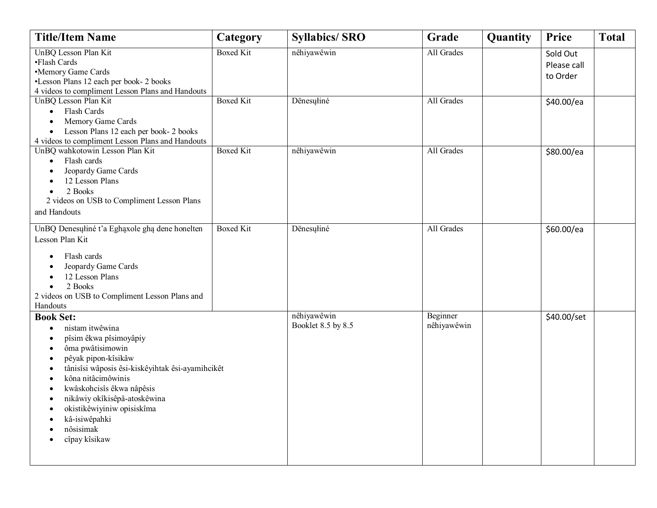| <b>Title/Item Name</b>                                                                                                                                                                                                                                                                                                                         | Category         | <b>Syllabics/SRO</b>              | Grade                   | Quantity | Price                               | <b>Total</b> |
|------------------------------------------------------------------------------------------------------------------------------------------------------------------------------------------------------------------------------------------------------------------------------------------------------------------------------------------------|------------------|-----------------------------------|-------------------------|----------|-------------------------------------|--------------|
| UnBQ Lesson Plan Kit<br>•Flash Cards<br>•Memory Game Cards<br>•Lesson Plans 12 each per book- 2 books<br>4 videos to compliment Lesson Plans and Handouts                                                                                                                                                                                      | <b>Boxed Kit</b> | nêhiyawêwin                       | All Grades              |          | Sold Out<br>Please call<br>to Order |              |
| UnBQ Lesson Plan Kit<br>Flash Cards<br>$\bullet$<br>Memory Game Cards<br>Lesson Plans 12 each per book- 2 books<br>$\bullet$<br>4 videos to compliment Lesson Plans and Handouts                                                                                                                                                               | <b>Boxed Kit</b> | Dënesuliné                        | All Grades              |          | \$40.00/ea                          |              |
| UnBQ wahkotowin Lesson Plan Kit<br>Flash cards<br>$\bullet$<br>Jeopardy Game Cards<br>12 Lesson Plans<br>2 Books<br>2 videos on USB to Compliment Lesson Plans<br>and Handouts                                                                                                                                                                 | <b>Boxed Kit</b> | nêhiyawêwin                       | All Grades              |          | \$80.00/ea                          |              |
| UnBQ Denesuliné t'a Eghaxole gha dene honelten<br>Lesson Plan Kit<br>Flash cards<br>Jeopardy Game Cards<br>12 Lesson Plans<br>2 Books<br>2 videos on USB to Compliment Lesson Plans and<br>Handouts                                                                                                                                            | <b>Boxed Kit</b> | Dënesuliné                        | All Grades              |          | \$60.00/ea                          |              |
| <b>Book Set:</b><br>nistam itwêwina<br>pîsim êkwa pîsimoyâpiy<br>ôma pwâtisimowin<br>$\bullet$<br>pêyak pipon-kîsikâw<br>٠<br>tânisîsi wâposis êsi-kiskêyihtak êsi-ayamihcikêt<br>kôna nitâcimôwinis<br>kwâskohcisîs êkwa nâpêsis<br>nikâwiy okîkisêpâ-atoskêwina<br>okistikêwiyiniw opisiskîma<br>kâ-isiwêpahki<br>nôsisimak<br>cîpay kîsikaw |                  | nêhiyawêwin<br>Booklet 8.5 by 8.5 | Beginner<br>nêhiyawêwin |          | \$40.00/set                         |              |